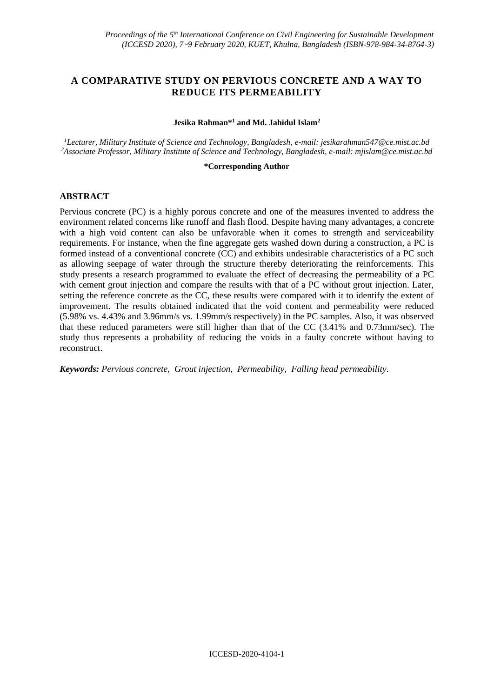# **A COMPARATIVE STUDY ON PERVIOUS CONCRETE AND A WAY TO REDUCE ITS PERMEABILITY**

### **Jesika Rahman\*<sup>1</sup> and Md. Jahidul Islam<sup>2</sup>**

*<sup>1</sup>Lecturer, Military Institute of Science and Technology, Bangladesh, e-mail: jesikarahman547@ce.mist.ac.bd <sup>2</sup>Associate Professor, Military Institute of Science and Technology, Bangladesh, e-mail: mjislam@ce.mist.ac.bd*

### **\*Corresponding Author**

## **ABSTRACT**

Pervious concrete (PC) is a highly porous concrete and one of the measures invented to address the environment related concerns like runoff and flash flood. Despite having many advantages, a concrete with a high void content can also be unfavorable when it comes to strength and serviceability requirements. For instance, when the fine aggregate gets washed down during a construction, a PC is formed instead of a conventional concrete (CC) and exhibits undesirable characteristics of a PC such as allowing seepage of water through the structure thereby deteriorating the reinforcements. This study presents a research programmed to evaluate the effect of decreasing the permeability of a PC with cement grout injection and compare the results with that of a PC without grout injection. Later, setting the reference concrete as the CC, these results were compared with it to identify the extent of improvement. The results obtained indicated that the void content and permeability were reduced (5.98% vs. 4.43% and 3.96mm/s vs. 1.99mm/s respectively) in the PC samples. Also, it was observed that these reduced parameters were still higher than that of the CC (3.41% and 0.73mm/sec). The study thus represents a probability of reducing the voids in a faulty concrete without having to reconstruct.

*Keywords: Pervious concrete, Grout injection, Permeability, Falling head permeability.*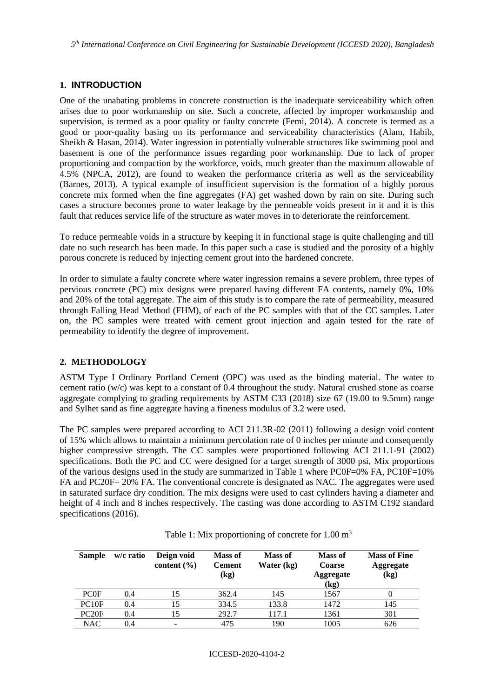## **1. INTRODUCTION**

One of the unabating problems in concrete construction is the inadequate serviceability which often arises due to poor workmanship on site. Such a concrete, affected by improper workmanship and supervision, is termed as a poor quality or faulty concrete (Femi, 2014). A concrete is termed as a good or poor-quality basing on its performance and serviceability characteristics (Alam, Habib, Sheikh & Hasan, 2014). Water ingression in potentially vulnerable structures like swimming pool and basement is one of the performance issues regarding poor workmanship. Due to lack of proper proportioning and compaction by the workforce, voids, much greater than the maximum allowable of 4.5% (NPCA, 2012), are found to weaken the performance criteria as well as the serviceability (Barnes, 2013). A typical example of insufficient supervision is the formation of a highly porous concrete mix formed when the fine aggregates (FA) get washed down by rain on site. During such cases a structure becomes prone to water leakage by the permeable voids present in it and it is this fault that reduces service life of the structure as water moves in to deteriorate the reinforcement.

To reduce permeable voids in a structure by keeping it in functional stage is quite challenging and till date no such research has been made. In this paper such a case is studied and the porosity of a highly porous concrete is reduced by injecting cement grout into the hardened concrete.

In order to simulate a faulty concrete where water ingression remains a severe problem, three types of pervious concrete (PC) mix designs were prepared having different FA contents, namely 0%, 10% and 20% of the total aggregate. The aim of this study is to compare the rate of permeability, measured through Falling Head Method (FHM), of each of the PC samples with that of the CC samples. Later on, the PC samples were treated with cement grout injection and again tested for the rate of permeability to identify the degree of improvement.

## **2. METHODOLOGY**

ASTM Type I Ordinary Portland Cement (OPC) was used as the binding material. The water to cement ratio (w/c) was kept to a constant of 0.4 throughout the study. Natural crushed stone as coarse aggregate complying to grading requirements by ASTM C33 (2018) size 67 (19.00 to 9.5mm) range and Sylhet sand as fine aggregate having a fineness modulus of 3.2 were used.

The PC samples were prepared according to ACI 211.3R-02 (2011) following a design void content of 15% which allows to maintain a minimum percolation rate of 0 inches per minute and consequently higher compressive strength. The CC samples were proportioned following ACI 211.1-91 (2002) specifications. Both the PC and CC were designed for a target strength of 3000 psi, Mix proportions of the various designs used in the study are summarized in Table 1 where PC0F=0% FA, PC10F=10% FA and PC20F= 20% FA. The conventional concrete is designated as NAC. The aggregates were used in saturated surface dry condition. The mix designs were used to cast cylinders having a diameter and height of 4 inch and 8 inches respectively. The casting was done according to ASTM C192 standard specifications (2016).

| <b>Sample</b>     | w/c ratio | Deign void<br>content $(\% )$ | <b>Mass of</b><br><b>Cement</b><br>(kg) | <b>Mass of</b><br>Water (kg) | Mass of<br><b>Coarse</b><br>Aggregate<br>(kg) | <b>Mass of Fine</b><br><b>Aggregate</b><br>(kg) |
|-------------------|-----------|-------------------------------|-----------------------------------------|------------------------------|-----------------------------------------------|-------------------------------------------------|
| <b>PCOF</b>       | 0.4       | 15                            | 362.4                                   | 145                          | 1567                                          |                                                 |
| PC10F             | 0.4       | 15                            | 334.5                                   | 133.8                        | 1472                                          | 145                                             |
| PC <sub>20F</sub> | 0.4       | 15                            | 292.7                                   | 117.1                        | 1361                                          | 301                                             |
| <b>NAC</b>        | 0.4       |                               | 475                                     | 190                          | 1005                                          | 626                                             |

Table 1: Mix proportioning of concrete for  $1.00 \text{ m}^3$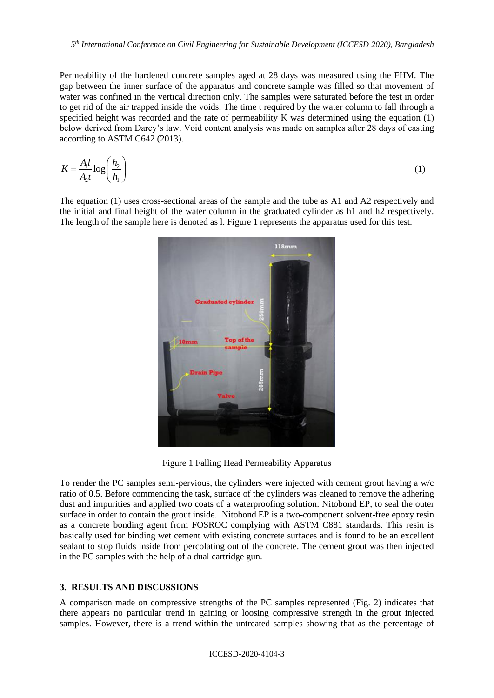Permeability of the hardened concrete samples aged at 28 days was measured using the FHM. The gap between the inner surface of the apparatus and concrete sample was filled so that movement of water was confined in the vertical direction only. The samples were saturated before the test in order to get rid of the air trapped inside the voids. The time t required by the water column to fall through a specified height was recorded and the rate of permeability K was determined using the equation (1) below derived from Darcy's law. Void content analysis was made on samples after 28 days of casting according to ASTM C642 (2013).

$$
K = \frac{A_1 l}{A_2 t} \log \left( \frac{h_2}{h_1} \right) \tag{1}
$$

The equation (1) uses cross-sectional areas of the sample and the tube as A1 and A2 respectively and the initial and final height of the water column in the graduated cylinder as h1 and h2 respectively. The length of the sample here is denoted as l. Figure 1 represents the apparatus used for this test.



Figure 1 Falling Head Permeability Apparatus

To render the PC samples semi-pervious, the cylinders were injected with cement grout having a w/c ratio of 0.5. Before commencing the task, surface of the cylinders was cleaned to remove the adhering dust and impurities and applied two coats of a waterproofing solution: Nitobond EP, to seal the outer surface in order to contain the grout inside. Nitobond EP is a two-component solvent-free epoxy resin as a concrete bonding agent from FOSROC complying with ASTM C881 standards. This resin is basically used for binding wet cement with existing concrete surfaces and is found to be an excellent sealant to stop fluids inside from percolating out of the concrete. The cement grout was then injected in the PC samples with the help of a dual cartridge gun.

## **3. RESULTS AND DISCUSSIONS**

A comparison made on compressive strengths of the PC samples represented (Fig. 2) indicates that there appears no particular trend in gaining or loosing compressive strength in the grout injected samples. However, there is a trend within the untreated samples showing that as the percentage of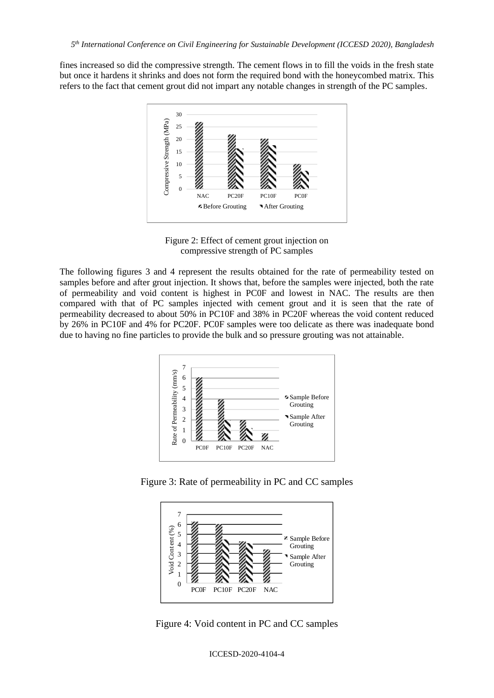fines increased so did the compressive strength. The cement flows in to fill the voids in the fresh state but once it hardens it shrinks and does not form the required bond with the honeycombed matrix. This refers to the fact that cement grout did not impart any notable changes in strength of the PC samples.



Figure 2: Effect of cement grout injection on compressive strength of PC samples

The following figures 3 and 4 represent the results obtained for the rate of permeability tested on samples before and after grout injection. It shows that, before the samples were injected, both the rate of permeability and void content is highest in PC0F and lowest in NAC. The results are then compared with that of PC samples injected with cement grout and it is seen that the rate of permeability decreased to about 50% in PC10F and 38% in PC20F whereas the void content reduced by 26% in PC10F and 4% for PC20F. PC0F samples were too delicate as there was inadequate bond due to having no fine particles to provide the bulk and so pressure grouting was not attainable.



Figure 3: Rate of permeability in PC and CC samples



Figure 4: Void content in PC and CC samples

ICCESD-2020-4104-4